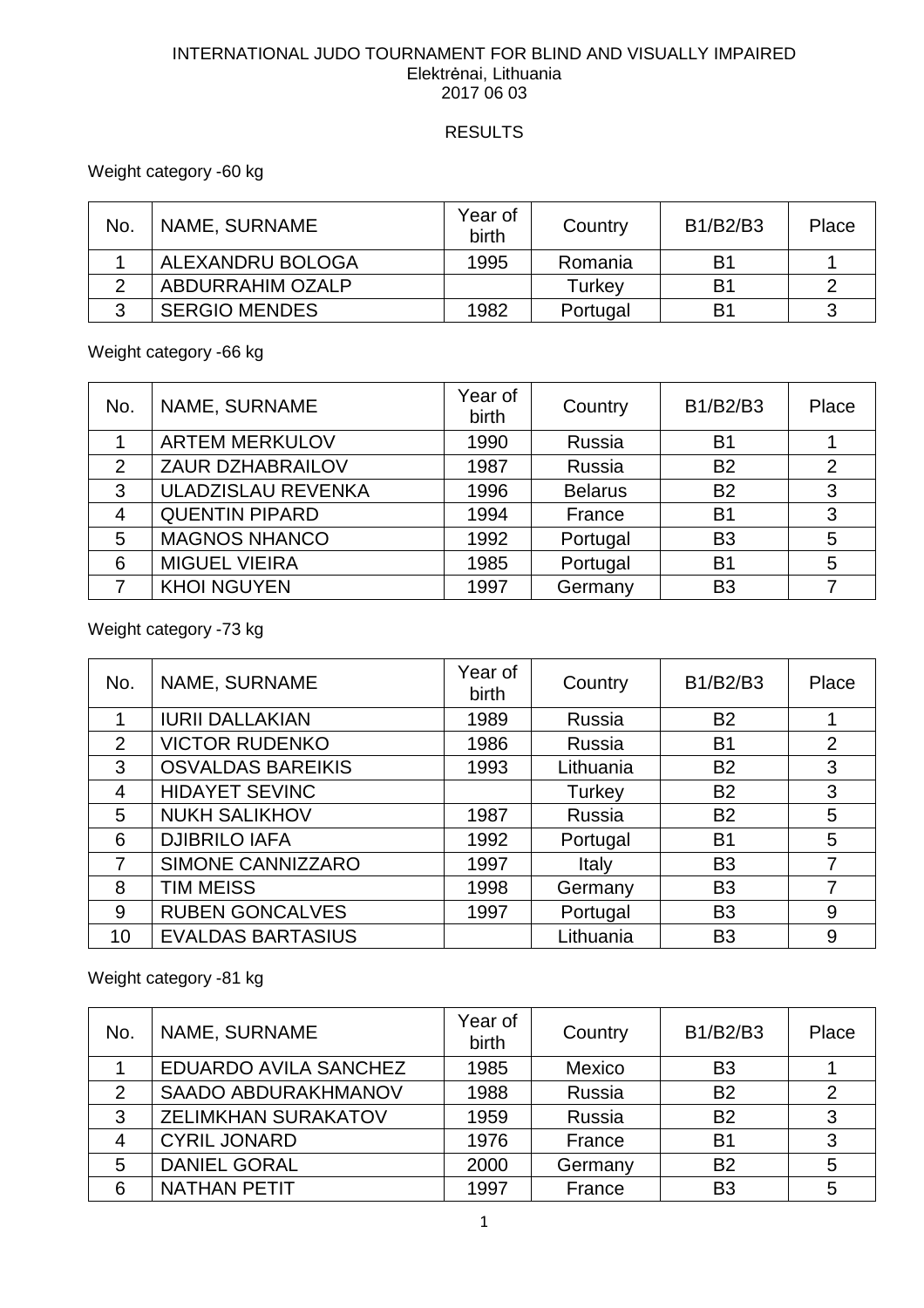### INTERNATIONAL JUDO TOURNAMENT FOR BLIND AND VISUALLY IMPAIRED Elektrėnai, Lithuania 2017 06 03

### **RESULTS**

## Weight category -60 kg

| No. | NAME, SURNAME        | Year of<br>birth | Country  | B1/B2/B3 | Place |
|-----|----------------------|------------------|----------|----------|-------|
|     | ALEXANDRU BOLOGA     | 1995             | Romania  | B1       |       |
|     | ABDURRAHIM OZALP     |                  | Turkey   | B1       |       |
|     | <b>SERGIO MENDES</b> | 1982             | Portugal | B1       |       |

Weight category -66 kg

| No. | NAME, SURNAME             | Year of<br>birth | Country        | B1/B2/B3       | Place          |
|-----|---------------------------|------------------|----------------|----------------|----------------|
|     | <b>ARTEM MERKULOV</b>     | 1990             | Russia         | B <sub>1</sub> |                |
| 2   | <b>ZAUR DZHABRAILOV</b>   | 1987             | Russia         | <b>B2</b>      | $\overline{2}$ |
| 3   | <b>ULADZISLAU REVENKA</b> | 1996             | <b>Belarus</b> | <b>B2</b>      | 3              |
| 4   | <b>QUENTIN PIPARD</b>     | 1994             | France         | <b>B1</b>      | 3              |
| 5   | <b>MAGNOS NHANCO</b>      | 1992             | Portugal       | B <sub>3</sub> | 5              |
| 6   | <b>MIGUEL VIEIRA</b>      | 1985             | Portugal       | <b>B1</b>      | 5              |
|     | <b>KHOI NGUYEN</b>        | 1997             | Germany        | B <sub>3</sub> |                |

Weight category -73 kg

| No.            | NAME, SURNAME            | Year of<br>birth | Country   | B1/B2/B3       | Place          |
|----------------|--------------------------|------------------|-----------|----------------|----------------|
|                | <b>IURII DALLAKIAN</b>   | 1989             | Russia    | <b>B2</b>      |                |
| 2              | <b>VICTOR RUDENKO</b>    | 1986             | Russia    | <b>B1</b>      | 2              |
| 3              | <b>OSVALDAS BAREIKIS</b> | 1993             | Lithuania | <b>B2</b>      | 3              |
| $\overline{4}$ | <b>HIDAYET SEVINC</b>    |                  | Turkey    | <b>B2</b>      | 3              |
| 5              | <b>NUKH SALIKHOV</b>     | 1987             | Russia    | <b>B2</b>      | 5              |
| 6              | <b>DJIBRILO IAFA</b>     | 1992             | Portugal  | <b>B1</b>      | 5              |
| 7              | SIMONE CANNIZZARO        | 1997             | Italy     | B <sub>3</sub> | $\overline{7}$ |
| 8              | <b>TIM MEISS</b>         | 1998             | Germany   | B <sub>3</sub> | 7              |
| 9              | <b>RUBEN GONCALVES</b>   | 1997             | Portugal  | B <sub>3</sub> | 9              |
| 10             | <b>EVALDAS BARTASIUS</b> |                  | Lithuania | B <sub>3</sub> | 9              |

Weight category -81 kg

| No.            | NAME, SURNAME              | Year of<br>birth | Country | B1/B2/B3       | Place |
|----------------|----------------------------|------------------|---------|----------------|-------|
|                | EDUARDO AVILA SANCHEZ      | 1985             | Mexico  | B <sub>3</sub> |       |
| 2              | <b>SAADO ABDURAKHMANOV</b> | 1988             | Russia  | <b>B2</b>      | 2     |
| 3              | <b>ZELIMKHAN SURAKATOV</b> | 1959             | Russia  | <b>B2</b>      | 3     |
| $\overline{4}$ | <b>CYRIL JONARD</b>        | 1976             | France  | B <sub>1</sub> | 3     |
| 5              | <b>DANIEL GORAL</b>        | 2000             | Germany | B <sub>2</sub> | 5     |
| 6              | <b>NATHAN PETIT</b>        | 1997             | France  | B <sub>3</sub> | 5     |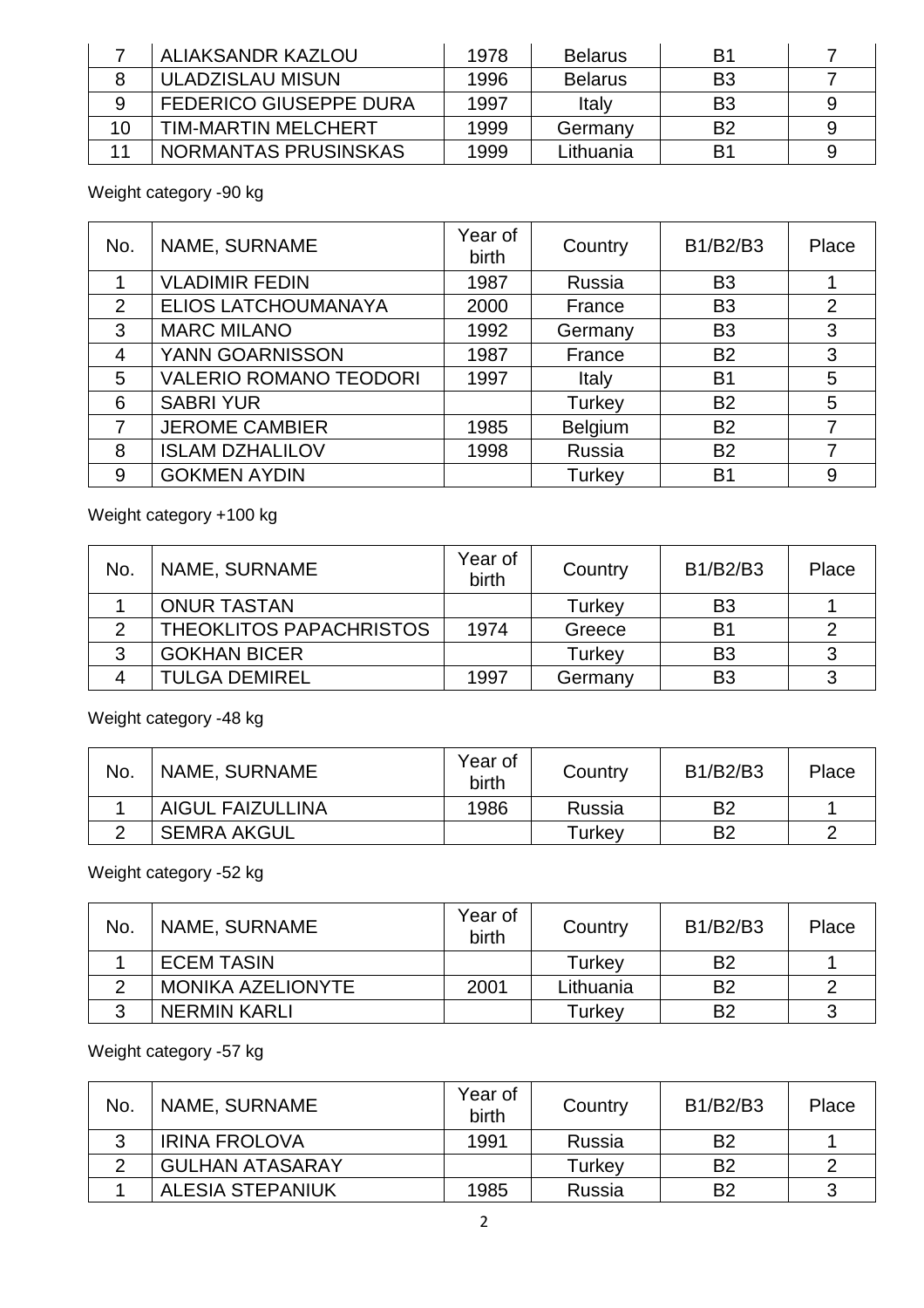|    | ALIAKSANDR KAZLOU             | 1978 | <b>Belarus</b> | B1             |  |
|----|-------------------------------|------|----------------|----------------|--|
|    | ULADZISLAU MISUN              | 1996 | <b>Belarus</b> | B <sub>3</sub> |  |
|    | <b>FEDERICO GIUSEPPE DURA</b> | 1997 | Italy          | B <sub>3</sub> |  |
| 10 | <b>TIM-MARTIN MELCHERT</b>    | 1999 | Germany        | B <sub>2</sub> |  |
|    | NORMANTAS PRUSINSKAS          | 1999 | Lithuania      | B1             |  |

Weight category -90 kg

| No.            | NAME, SURNAME                 | Year of<br>birth | Country | B1/B2/B3       | Place          |
|----------------|-------------------------------|------------------|---------|----------------|----------------|
|                | <b>VLADIMIR FEDIN</b>         | 1987             | Russia  | B <sub>3</sub> |                |
| 2              | <b>ELIOS LATCHOUMANAYA</b>    | 2000             | France  | B <sub>3</sub> | $\overline{2}$ |
| 3              | <b>MARC MILANO</b>            | 1992             | Germany | B <sub>3</sub> | 3              |
| $\overline{4}$ | YANN GOARNISSON               | 1987             | France  | <b>B2</b>      | 3              |
| 5              | <b>VALERIO ROMANO TEODORI</b> | 1997             | Italy   | <b>B1</b>      | 5              |
| 6              | <b>SABRI YUR</b>              |                  | Turkey  | <b>B2</b>      | 5              |
| 7              | <b>JEROME CAMBIER</b>         | 1985             | Belgium | <b>B2</b>      | $\overline{7}$ |
| 8              | <b>ISLAM DZHALILOV</b>        | 1998             | Russia  | <b>B2</b>      | 7              |
| 9              | <b>GOKMEN AYDIN</b>           |                  | Turkey  | B <sub>1</sub> | 9              |

# Weight category +100 kg

| No. | NAME, SURNAME           | Year of<br>birth | Country | B1/B2/B3       | Place |
|-----|-------------------------|------------------|---------|----------------|-------|
|     | <b>ONUR TASTAN</b>      |                  | Turkey  | B <sub>3</sub> |       |
|     | THEOKLITOS PAPACHRISTOS | 1974             | Greece  | B <sub>1</sub> |       |
| າ   | <b>GOKHAN BICER</b>     |                  | Turkey  | B <sub>3</sub> | 3     |
|     | <b>TULGA DEMIREL</b>    | 1997             | Germany | B <sub>3</sub> | 3     |

Weight category -48 kg

| No. | NAME, SURNAME           | Year of<br>birth | Country | B1/B2/B3 | Place |
|-----|-------------------------|------------------|---------|----------|-------|
|     | <b>AIGUL FAIZULLINA</b> | 1986             | Russia  | B2       |       |
|     | <b>SEMRA AKGUL</b>      |                  | Turkey  | B2       |       |

Weight category -52 kg

| No. | NAME, SURNAME            | Year of<br>birth | Country   | B1/B2/B3       | Place |
|-----|--------------------------|------------------|-----------|----------------|-------|
|     | <b>ECEM TASIN</b>        |                  | Turkev    | B <sub>2</sub> |       |
|     | <b>MONIKA AZELIONYTE</b> | 2001             | Lithuania | B <sub>2</sub> |       |
|     | <b>NERMIN KARLI</b>      |                  | Turkev    | B <sub>2</sub> |       |

Weight category -57 kg

| No. | NAME, SURNAME           | Year of<br>birth | Country | B1/B2/B3       | Place |
|-----|-------------------------|------------------|---------|----------------|-------|
|     | <b>IRINA FROLOVA</b>    | 1991             | Russia  | B <sub>2</sub> |       |
|     | <b>GULHAN ATASARAY</b>  |                  | Turkev  | B <sub>2</sub> |       |
|     | <b>ALESIA STEPANIUK</b> | 1985             | Russia  | B <sub>2</sub> |       |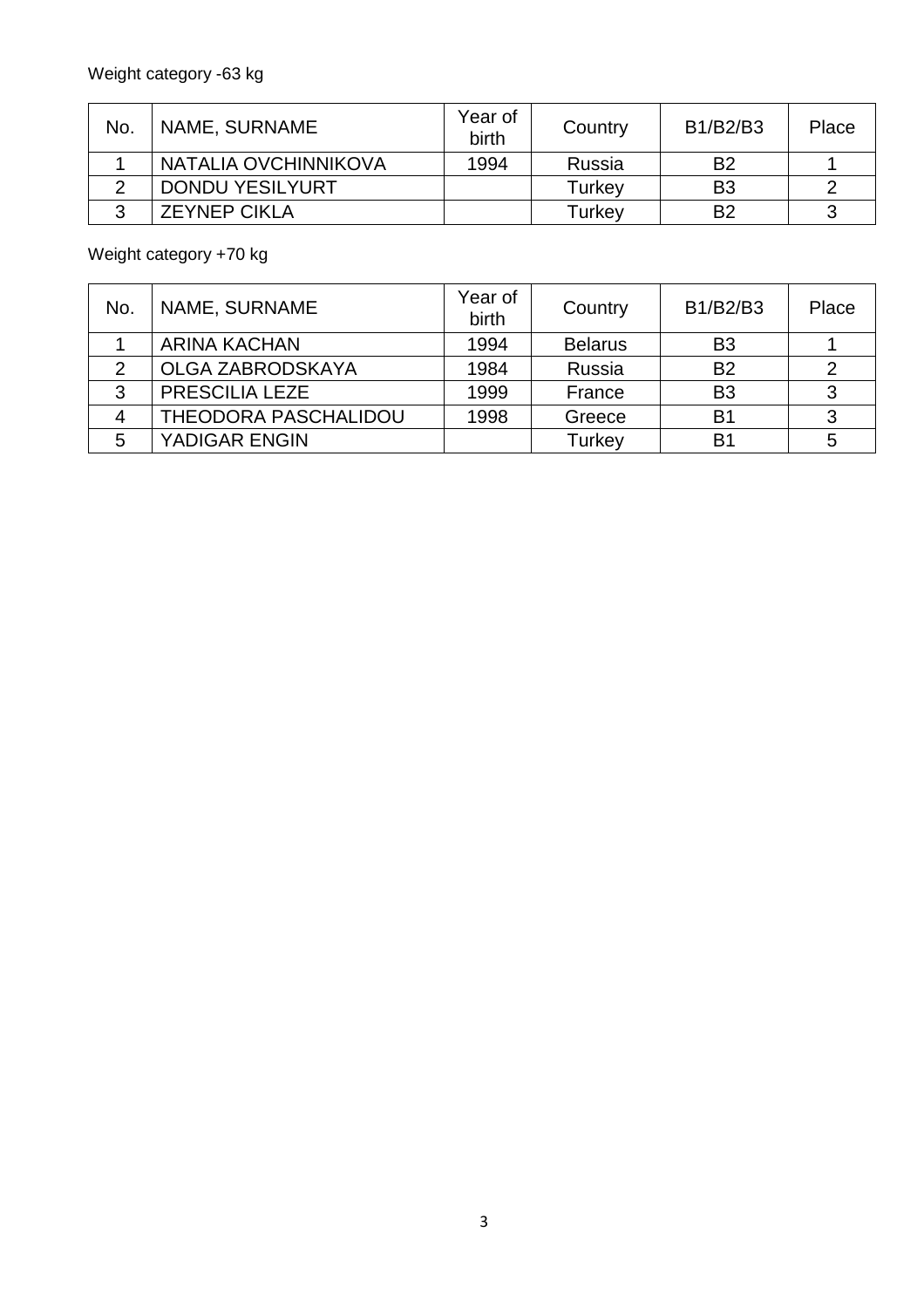| No. | NAME, SURNAME          | Year of<br>birth | Country | B1/B2/B3       | Place |
|-----|------------------------|------------------|---------|----------------|-------|
|     | NATALIA OVCHINNIKOVA   | 1994             | Russia  | B <sub>2</sub> |       |
|     | <b>DONDU YESILYURT</b> |                  | Turkev  | B <sub>3</sub> |       |
|     | <b>ZEYNEP CIKLA</b>    |                  | Turkey  | B <sub>2</sub> | ാ     |

Weight category +70 kg

| No. | NAME, SURNAME               | Year of<br>birth | Country        | B1/B2/B3       | Place |
|-----|-----------------------------|------------------|----------------|----------------|-------|
|     | <b>ARINA KACHAN</b>         | 1994             | <b>Belarus</b> | B <sub>3</sub> |       |
| 2   | <b>OLGA ZABRODSKAYA</b>     | 1984             | Russia         | <b>B2</b>      |       |
| 3   | PRESCILIA LEZE              | 1999             | France         | B <sub>3</sub> |       |
| Δ   | <b>THEODORA PASCHALIDOU</b> | 1998             | Greece         | B <sub>1</sub> |       |
| 5   | YADIGAR ENGIN               |                  | Turkey         | B <sub>1</sub> | 5     |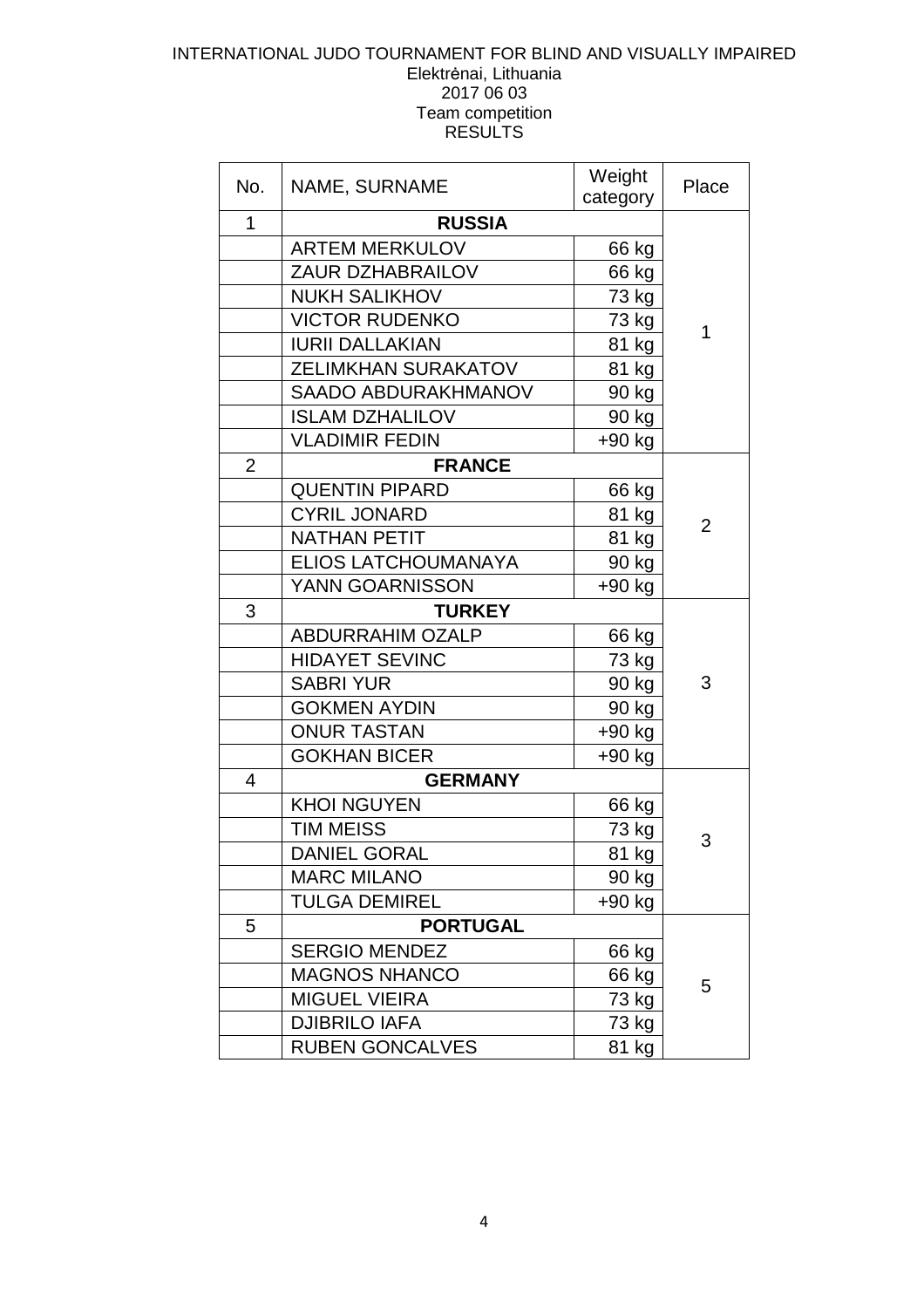### INTERNATIONAL JUDO TOURNAMENT FOR BLIND AND VISUALLY IMPAIRED Elektrėnai, Lithuania 2017 06 03 Team competition **RESULTS**

| No.            | NAME, SURNAME              | Weight<br>category | Place          |
|----------------|----------------------------|--------------------|----------------|
| 1              | <b>RUSSIA</b>              |                    |                |
|                | <b>ARTEM MERKULOV</b>      | 66 kg              |                |
|                | <b>ZAUR DZHABRAILOV</b>    | 66 kg              |                |
|                | <b>NUKH SALIKHOV</b>       | 73 kg              |                |
|                | <b>VICTOR RUDENKO</b>      | 73 kg              | 1              |
|                | <b>IURII DALLAKIAN</b>     | 81 kg              |                |
|                | <b>ZELIMKHAN SURAKATOV</b> | 81 kg              |                |
|                | <b>SAADO ABDURAKHMANOV</b> | 90 kg              |                |
|                | <b>ISLAM DZHALILOV</b>     | 90 kg              |                |
|                | <b>VLADIMIR FEDIN</b>      | $+90$ kg           |                |
| $\overline{2}$ | <b>FRANCE</b>              |                    |                |
|                | <b>QUENTIN PIPARD</b>      | 66 kg              |                |
|                | <b>CYRIL JONARD</b>        | 81 kg              | $\overline{2}$ |
|                | <b>NATHAN PETIT</b>        | 81 kg              |                |
|                | ELIOS LATCHOUMANAYA        | 90 kg              |                |
|                | YANN GOARNISSON            | +90 kg             |                |
| 3              | <b>TURKEY</b>              |                    |                |
|                | <b>ABDURRAHIM OZALP</b>    | 66 kg              |                |
|                | <b>HIDAYET SEVINC</b>      | 73 kg              |                |
|                | <b>SABRI YUR</b>           | 90 kg              | 3              |
|                | <b>GOKMEN AYDIN</b>        | 90 kg              |                |
|                | <b>ONUR TASTAN</b>         | $+90$ kg           |                |
|                | <b>GOKHAN BICER</b>        | $+90$ kg           |                |
| 4              | <b>GERMANY</b>             |                    |                |
|                | <b>KHOI NGUYEN</b>         | 66 kg              |                |
|                | <b>TIM MEISS</b>           | 73 kg              | 3              |
|                | <b>DANIEL GORAL</b>        | 81 kg              |                |
|                | <b>MARC MILANO</b>         | 90 kg              |                |
|                | <b>TULGA DEMIREL</b>       | +90 kg             |                |
| 5              | <b>PORTUGAL</b>            |                    |                |
|                | <b>SERGIO MENDEZ</b>       | 66 kg              |                |
|                | <b>MAGNOS NHANCO</b>       | 66 kg              | 5              |
|                | <b>MIGUEL VIEIRA</b>       | 73 kg              |                |
|                | <b>DJIBRILO IAFA</b>       | 73 kg              |                |
|                | <b>RUBEN GONCALVES</b>     | 81 kg              |                |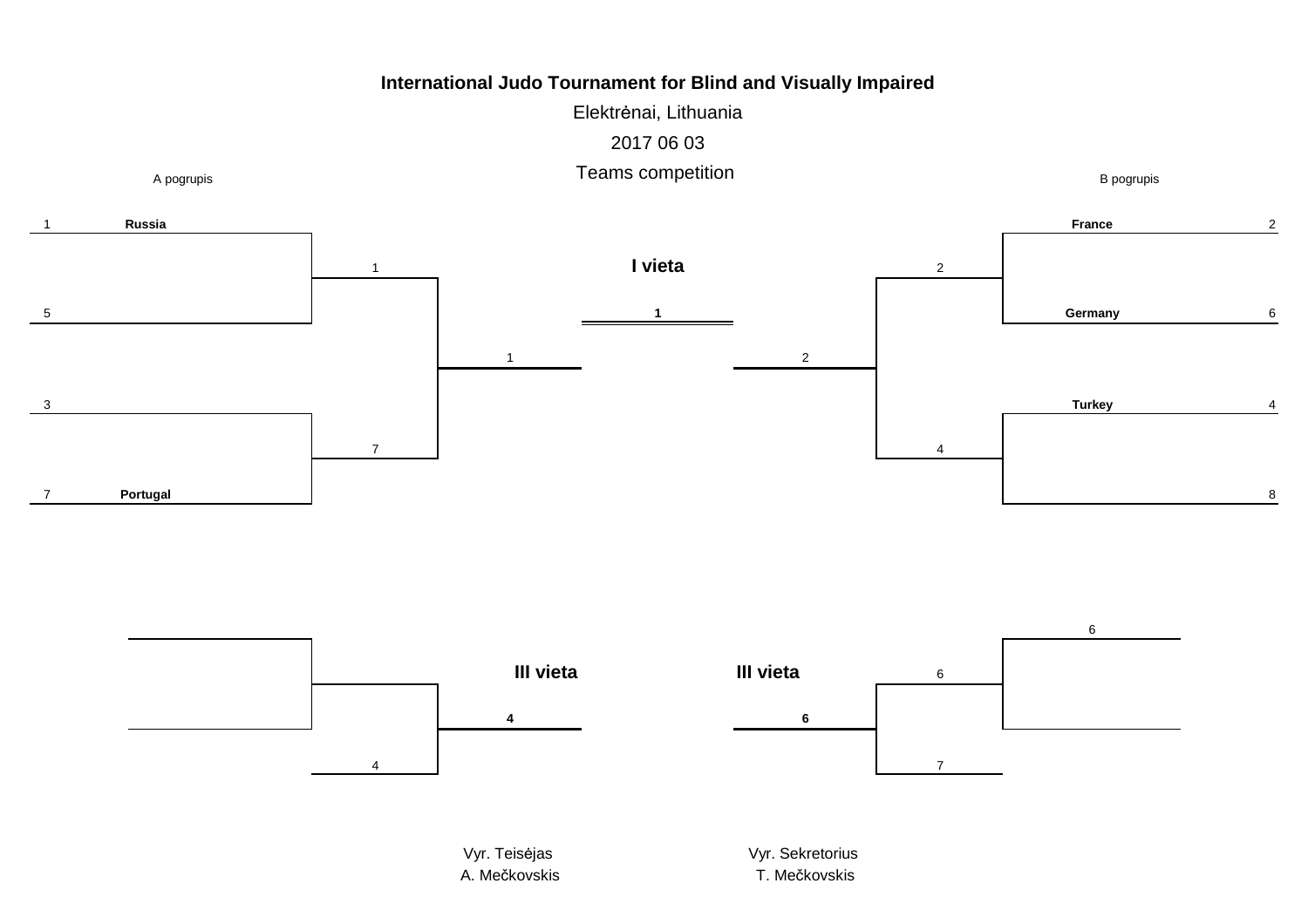Elektrėnai, Lithuania2017 06 03





Vyr. TeisA. Mečkovskis **A. Mečkovskis** T. Me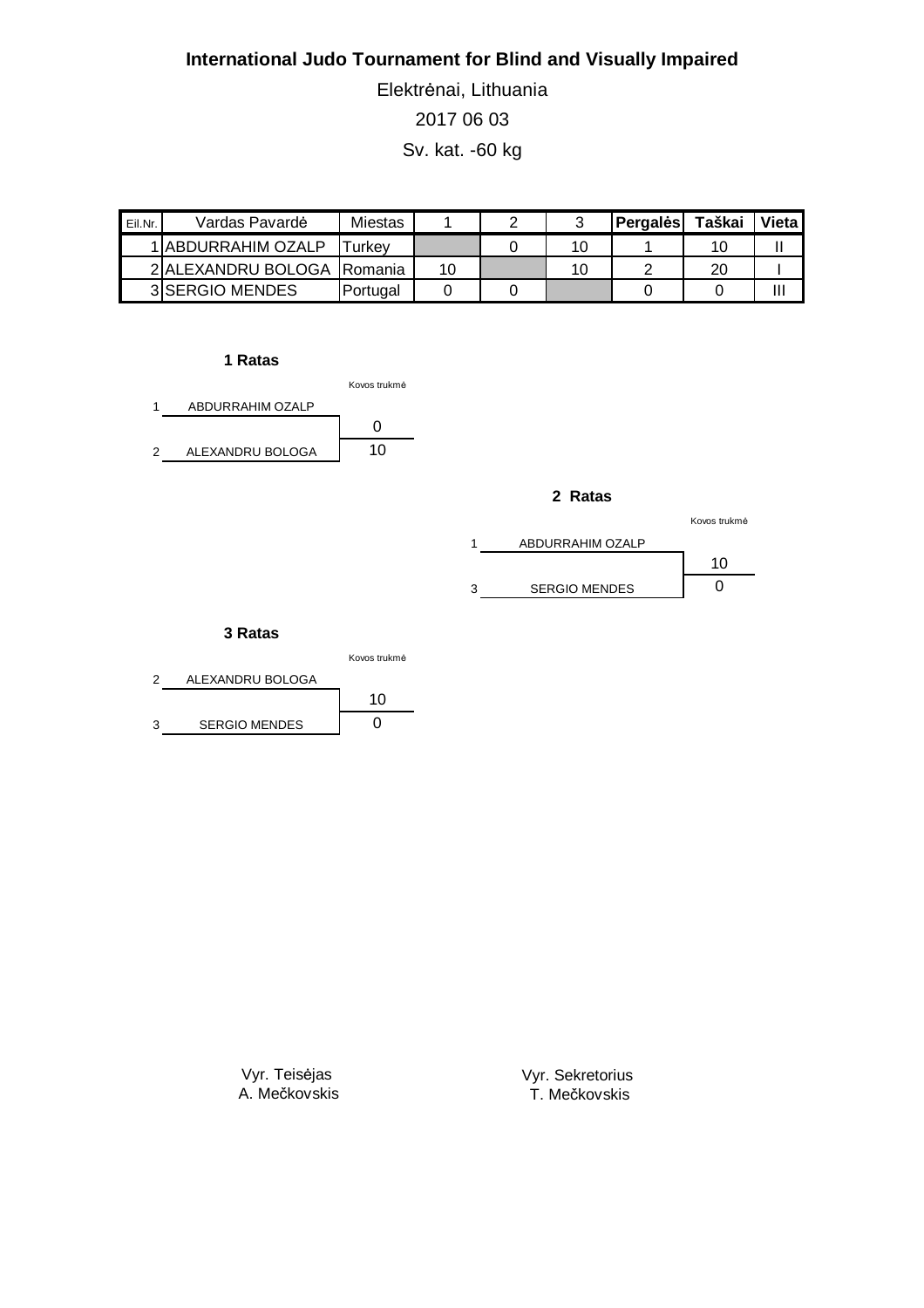Elektrėnai, Lithuania 2017 06 03 Sv. kat. -60 kg

| Eil.Nr. | Vardas Pavardė              | <b>Miestas</b> |    |    | Pergales | Taškai | Vieta |
|---------|-----------------------------|----------------|----|----|----------|--------|-------|
|         | 1 ABDURRAHIM OZALP          | ⊺urkev         |    | 10 |          | 10     |       |
|         | 2IALEXANDRU BOLOGA IRomania |                | 10 | 10 |          | 20     |       |
|         | 3 SERGIO MENDES             | Portugal       |    |    |          |        | Ш     |

### **1 Ratas**



#### **2 Ratas**

|                      | Kovos trukmė |
|----------------------|--------------|
| ABDURRAHIM OZALP     |              |
|                      | 10           |
| <b>SERGIO MENDES</b> |              |

### **3 Ratas**

|                      | Kovos trukmė |
|----------------------|--------------|
| ALEXANDRU BOLOGA     |              |
|                      | 10           |
| <b>SERGIO MENDES</b> |              |

Vyr. Teisėjas A. Mečkovskis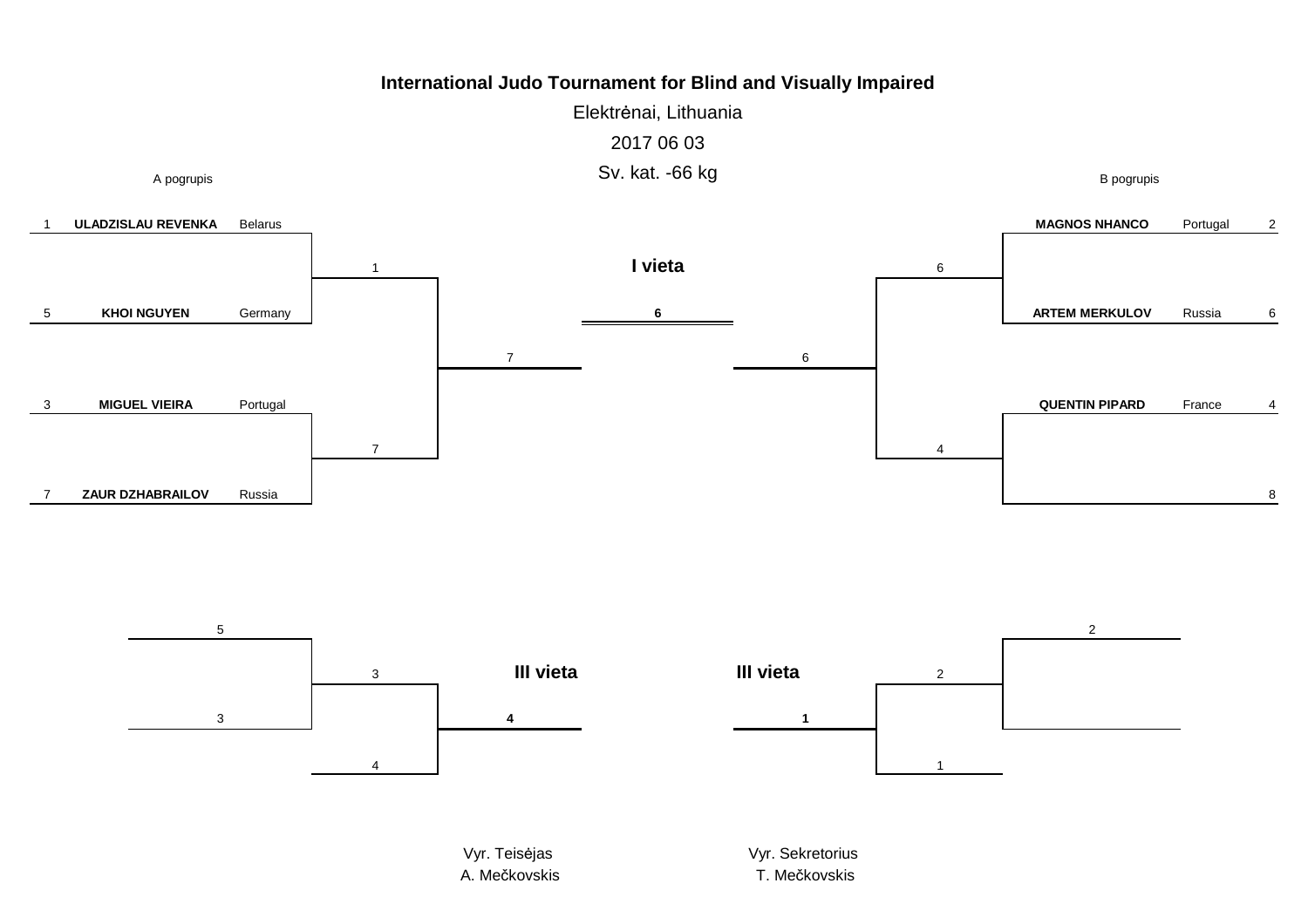Elektrėnai, Lithuania2017 06 03Sv. kat. -66 kg



Vyr. TeisA. Mečkovskis **A. Mečkovskis** T. Me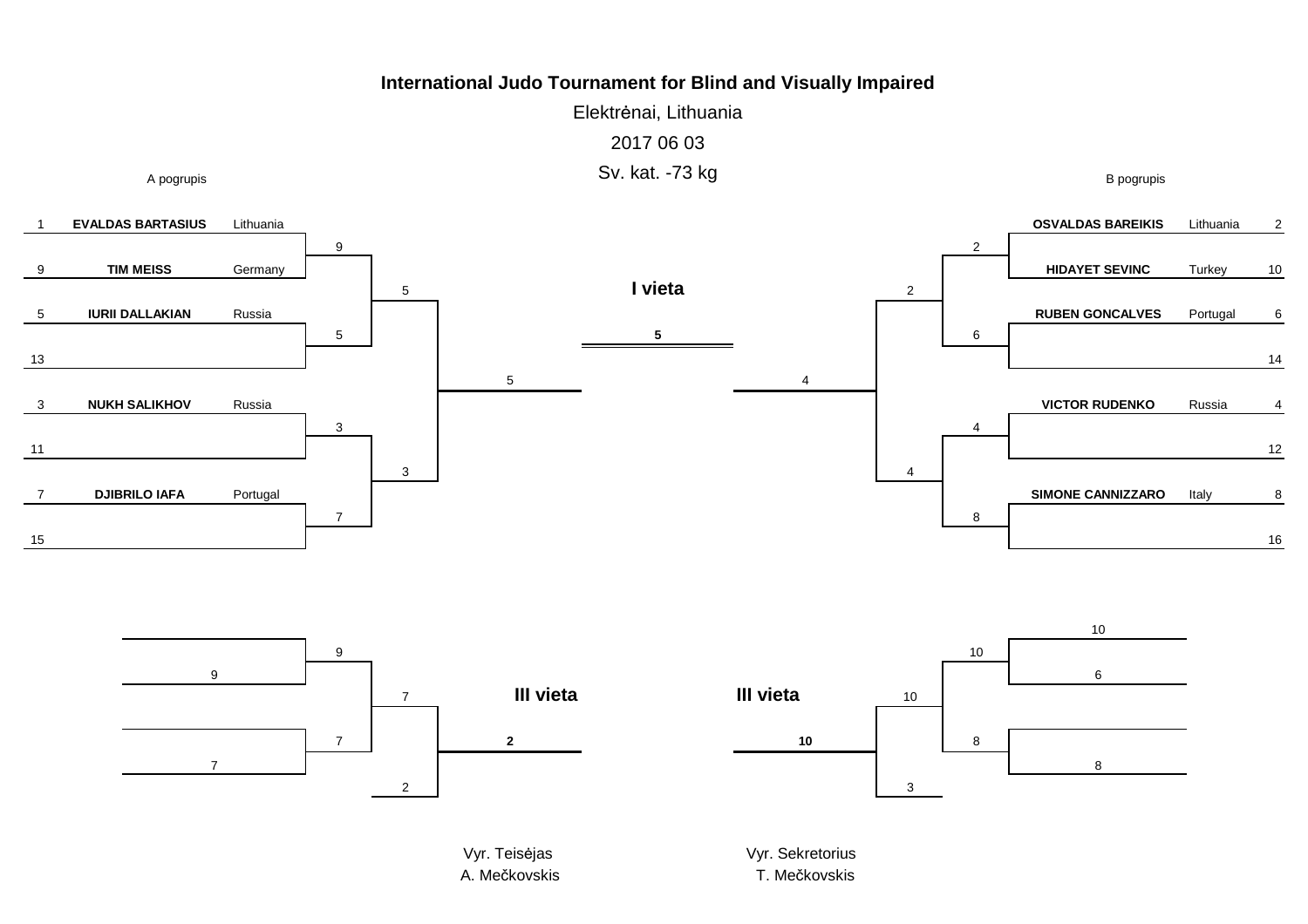Elektrėnai, Lithuania2017 06 03Sv. kat. -73 kg





A. Mečkovskis **A. Mečkovskis** T. Me

T. Mečkovskis

B pogrupis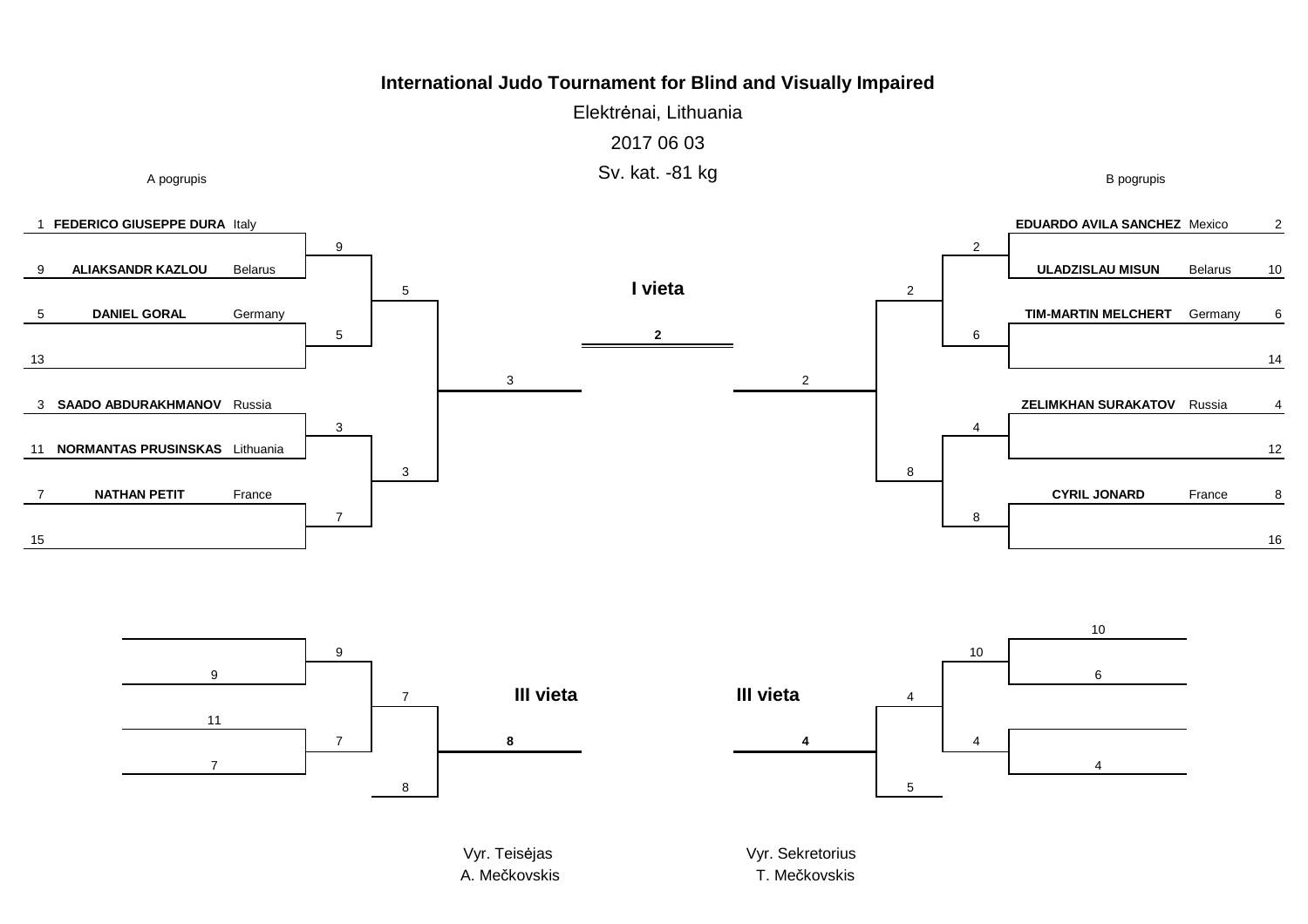Elektrėnai, Lithuania2017 06 03Sv. kat. -81 kg





Vyr. TeisA. Mečkovskis **A. Mečkovskis** T. Me

Vyr. Sekretorius T. Mečkovskis

B pogrupis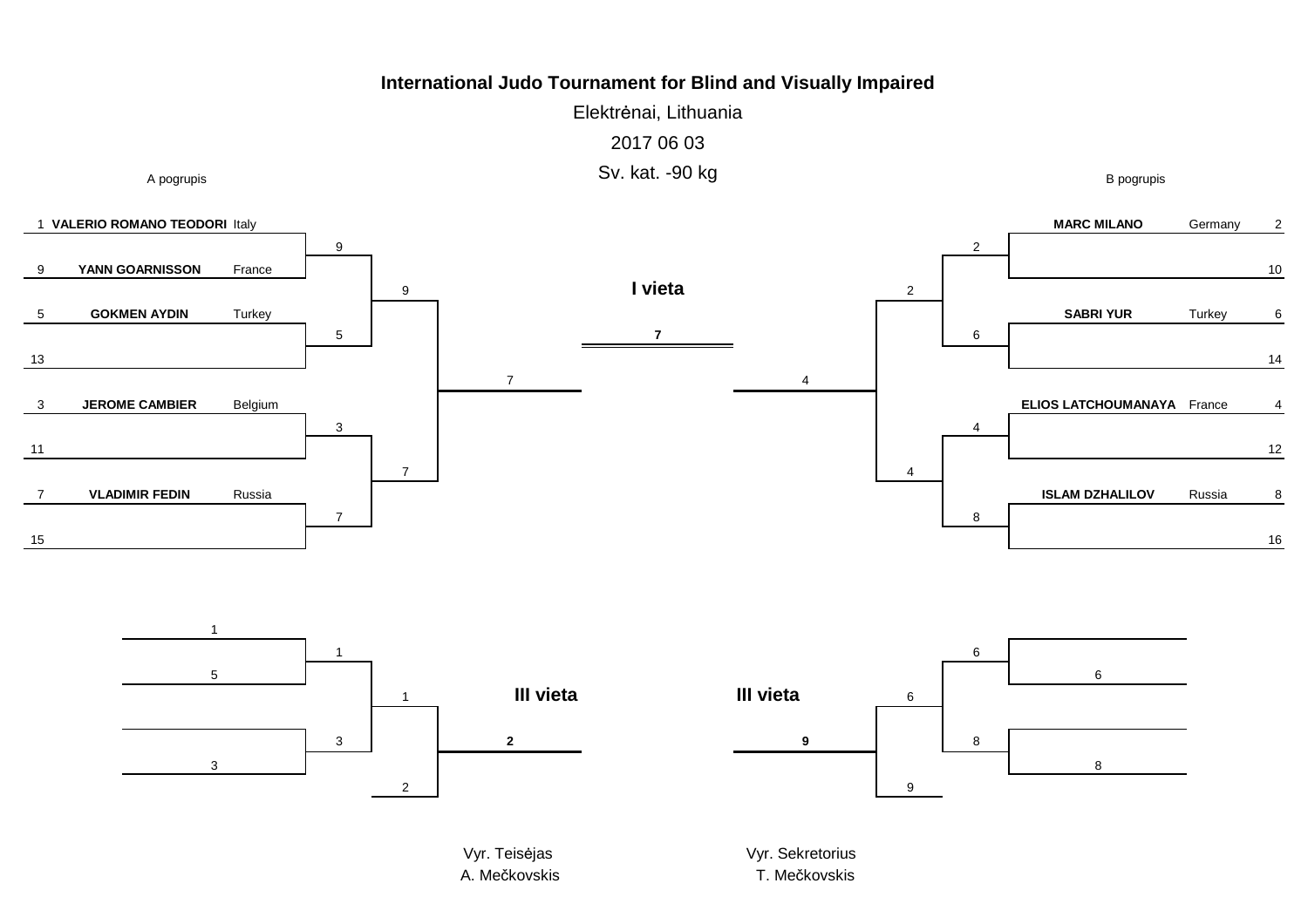Elektrėnai, Lithuania2017 06 03Sv. kat. -90 kg





Vyr. TeisA. Mečkovskis **A. Mečkovskis** T. Me

Vyr. Sekretorius T. Mečkovskis

6

8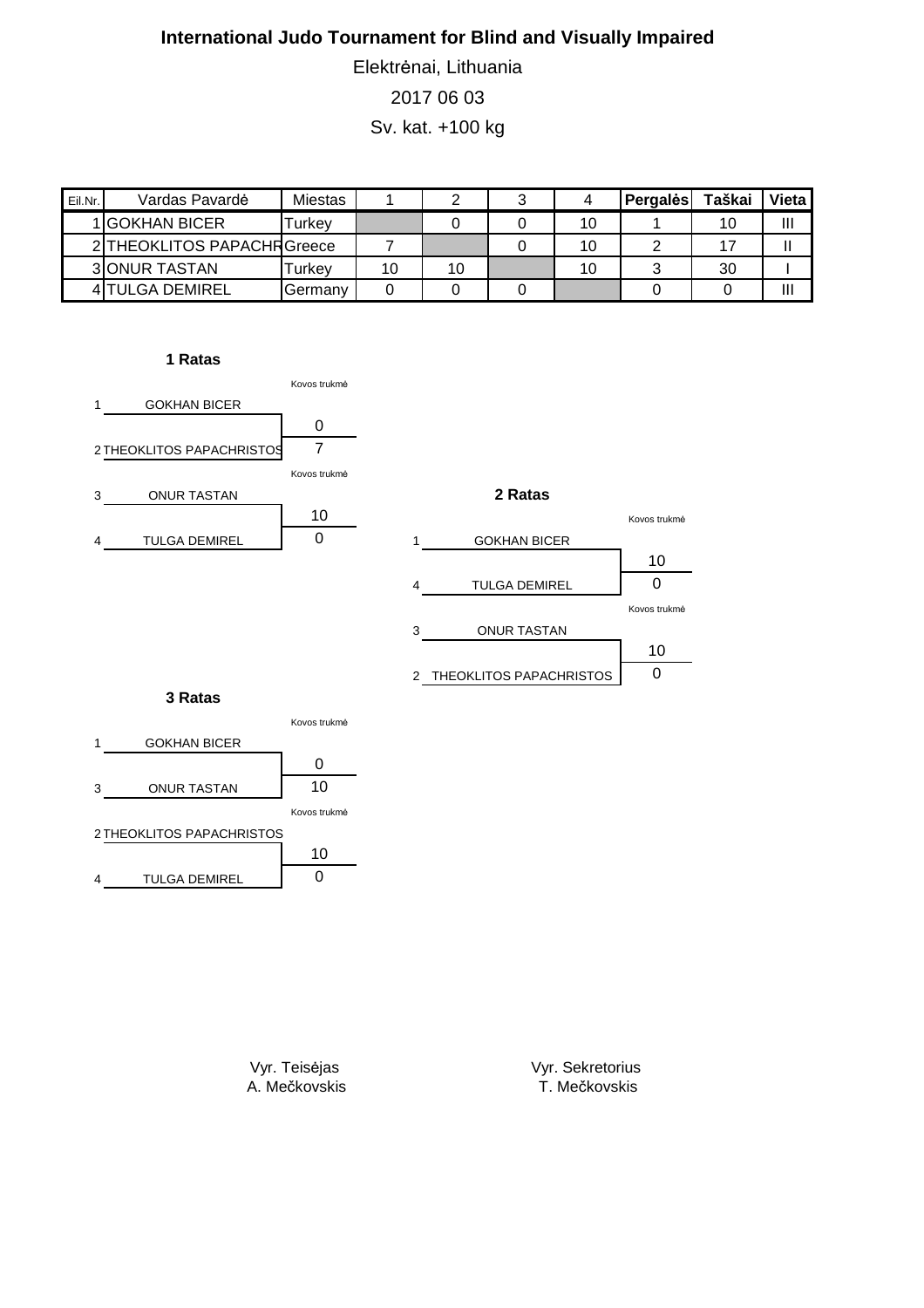Elektrėnai, Lithuania 2017 06 03

Sv. kat. +100 kg

| Eil.Nr. | Vardas Pavardė              | Miestas            |    |    |    | Pergales | Taškai | Vieta |
|---------|-----------------------------|--------------------|----|----|----|----------|--------|-------|
|         | 1 GOKHAN BICER              | <sup>-</sup> urkev |    |    | 10 |          | 10     | Ш     |
|         | 2 THEOKLITOS PAPACHR Greece |                    |    |    | 10 |          |        |       |
|         | <b>3 JONUR TASTAN</b>       | <sup>-</sup> urkev | 10 | 10 | 1C |          | 30     |       |
|         | <b>4 TULGA DEMIREL</b>      | Germany            |    |    |    |          |        | Ш     |

### **1 Ratas**



Vyr. Teisėjas A. Mečkovskis

10

4 TULGA DEMIREL | 0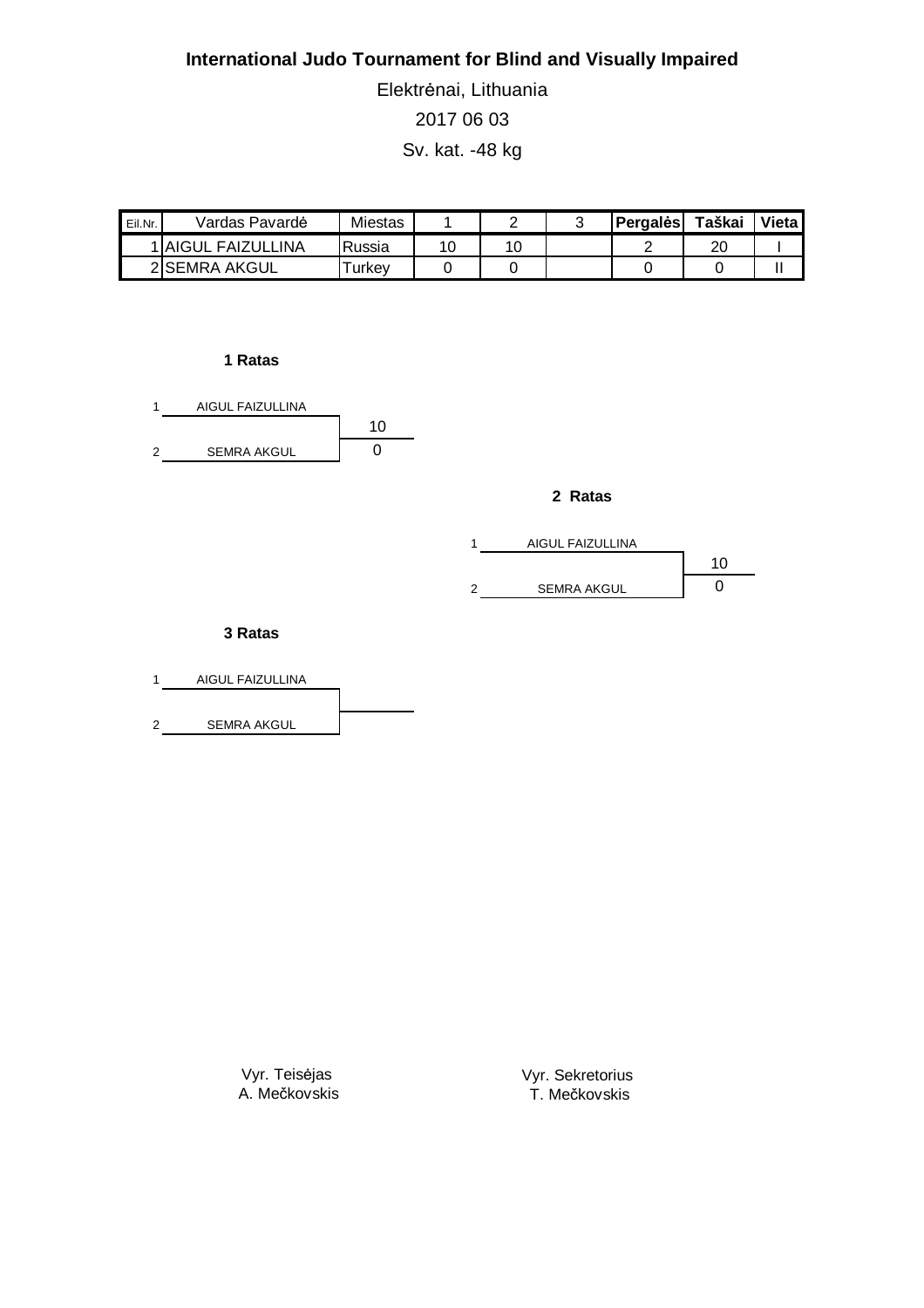Elektrėnai, Lithuania 2017 06 03 Sv. kat. -48 kg

| Eil.Nr. | Vardas Pavardė     | Miestas |    |  | Pergales | Taškai | Vieta. |
|---------|--------------------|---------|----|--|----------|--------|--------|
|         | 1 AIGUL FAIZULLINA | Russia  | 10 |  |          | 20     |        |
|         | 2ISEMRA AKGUL      | urkev   |    |  |          |        |        |

### **1 Ratas**



### **2 Ratas**



### **3 Ratas**

| AIGUL FAIZULLINA   |  |
|--------------------|--|
|                    |  |
| <b>SEMRA AKGUL</b> |  |

Vyr. Teisėjas A. Mečkovskis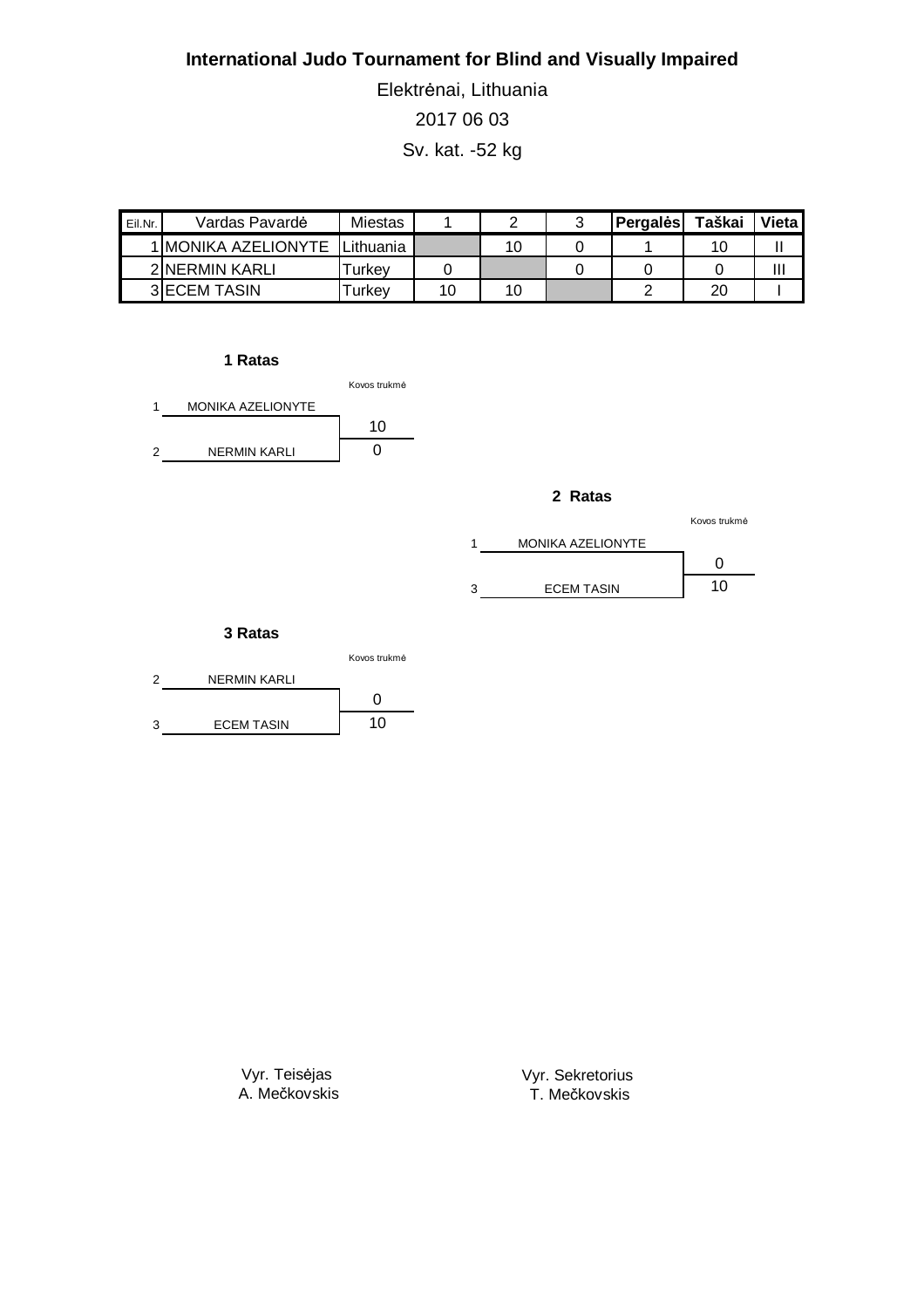Elektrėnai, Lithuania 2017 06 03 Sv. kat. -52 kg

| Eil.Nr. | Vardas Pavardė       | Miestas            |    |  | <b>Pergales</b> | Taškai | Vietal |
|---------|----------------------|--------------------|----|--|-----------------|--------|--------|
|         | 1 IMONIKA AZELIONYTE | lLithuania 1       |    |  |                 | 10     |        |
|         | 2 NERMIN KARLI       | urkev-             |    |  |                 |        | Ш      |
|         | <b>3IECEM TASIN</b>  | <sup>-</sup> urkev | 10 |  |                 | 20     |        |

### **1 Ratas**



#### **2 Ratas**

|                          | Kovos trukmė |
|--------------------------|--------------|
| <b>MONIKA AZELIONYTE</b> |              |
|                          |              |
| <b>ECEM TASIN</b>        | 10           |

#### **3 Ratas**



Vyr. Teisėjas A. Mečkovskis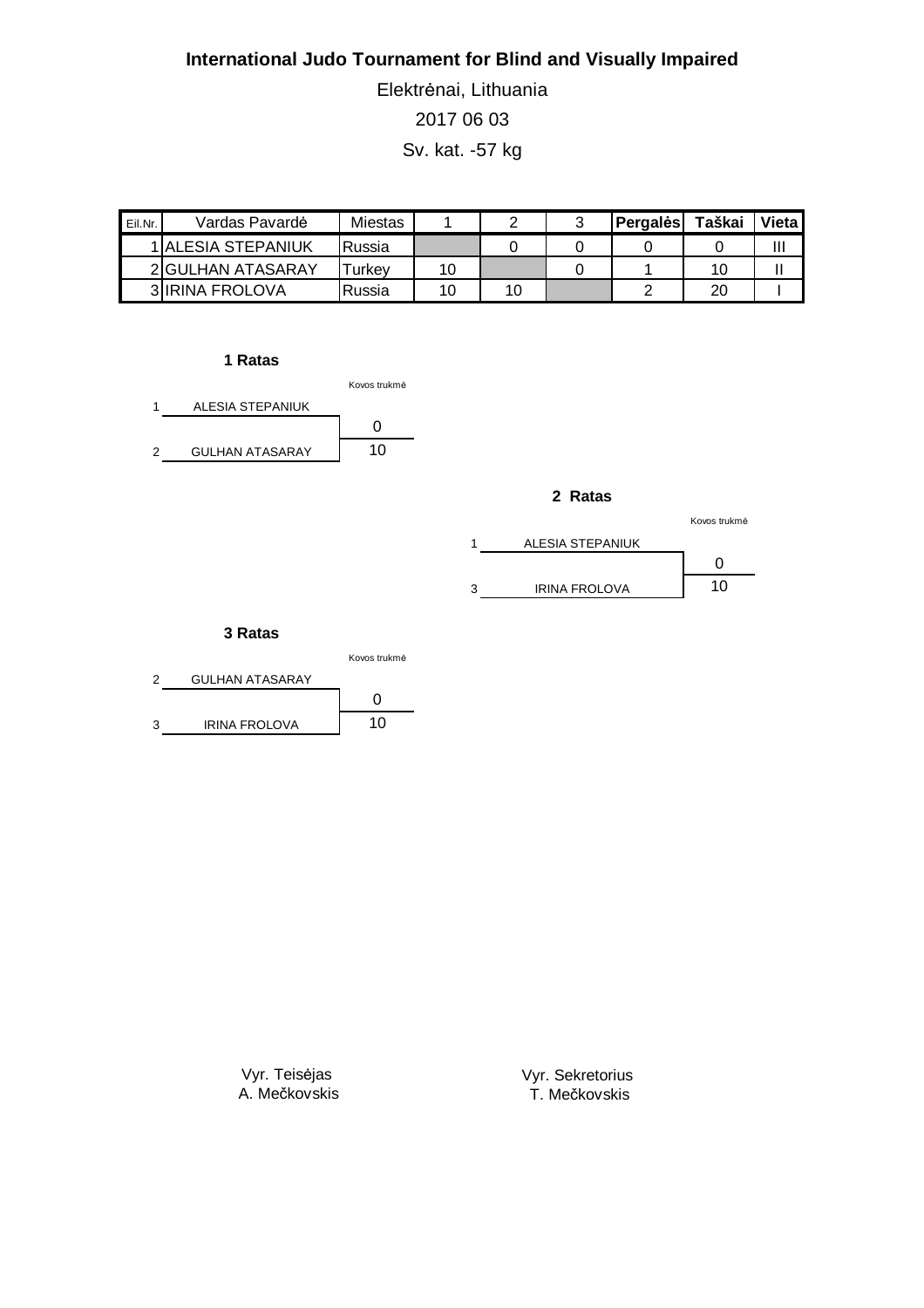Elektrėnai, Lithuania 2017 06 03 Sv. kat. -57 kg

| Eil.Nr. | Vardas Pavardė            | Miestas       |    |  | <b>Pergales</b> | Taškai | Vietal |
|---------|---------------------------|---------------|----|--|-----------------|--------|--------|
|         | <b>1IALESIA STEPANIUK</b> | <b>Russia</b> |    |  |                 |        | Ш      |
|         | 2 GULHAN ATASARAY         | Turkev        | 10 |  |                 | 10     |        |
|         | <b>3IIRINA FROLOVA</b>    | Russia        | 10 |  |                 | 20     |        |

**1 Ratas**





|   |                      | Kovos trukmė |
|---|----------------------|--------------|
|   | ALESIA STEPANIUK     |              |
|   |                      |              |
| ٩ | <b>IRINA FROLOVA</b> | 10           |

#### **3 Ratas**



Vyr. Teisėjas A. Mečkovskis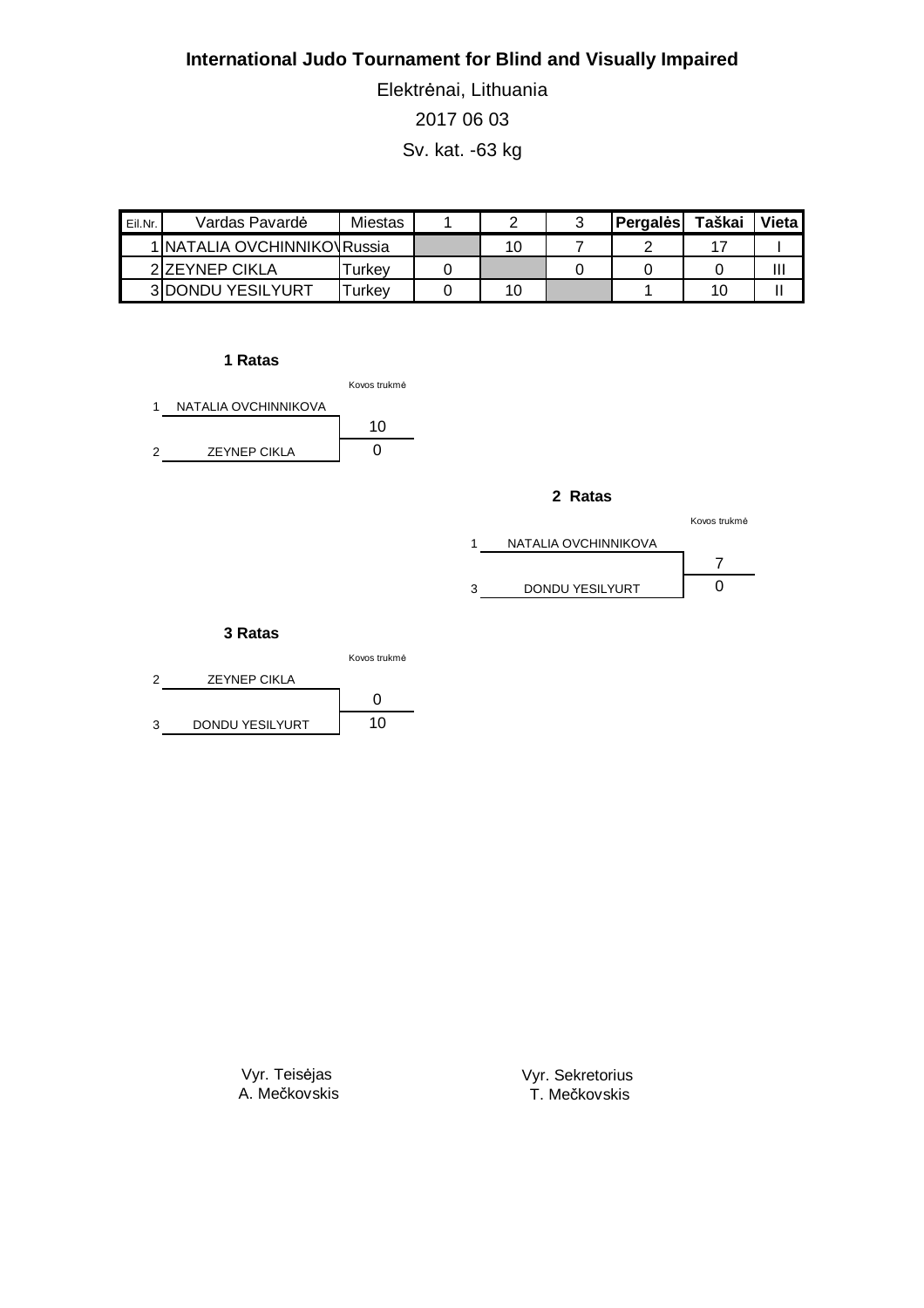Elektrėnai, Lithuania 2017 06 03 Sv. kat. -63 kg

| Eil.Nr. | Vardas Pavardė                | Miestas            |  | Pergales | Taškai | Vieta |
|---------|-------------------------------|--------------------|--|----------|--------|-------|
|         | 1   NATALIA OVCHINNIKOVRussia |                    |  |          |        |       |
|         | 2 ZEYNEP CIKLA                | ⊺urkev             |  |          |        | Ш     |
|         | <b>3IDONDU YESILYURT</b>      | <sup>-</sup> urkev |  |          | 10     |       |

### **1 Ratas**



#### **2 Ratas**

|   |                      | Kovos trukmė |  |  |
|---|----------------------|--------------|--|--|
|   | NATALIA OVCHINNIKOVA |              |  |  |
|   |                      |              |  |  |
| ٩ | DONDU YESILYURT      |              |  |  |

#### **3 Ratas**



Vyr. Teisėjas A. Mečkovskis